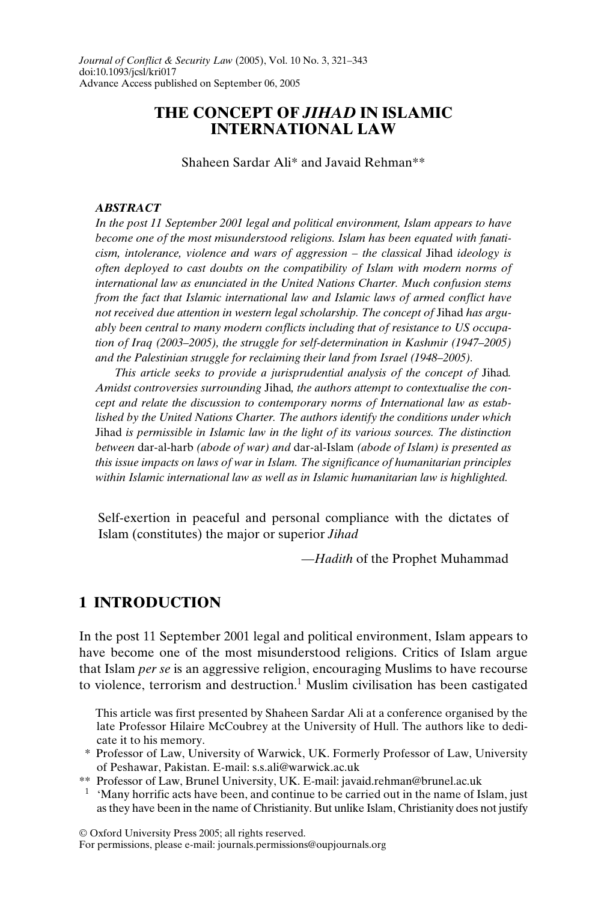## **THE CONCEPT OF** *JIHAD* **IN ISLAMIC INTERNATIONAL LAW**

Shaheen Sardar Ali\* and Javaid Rehman\*\*

#### *ABSTRACT*

*In the post 11 September 2001 legal and political environment, Islam appears to have become one of the most misunderstood religions. Islam has been equated with fanaticism, intolerance, violence and wars of aggression – the classical* Jihad *ideology is often deployed to cast doubts on the compatibility of Islam with modern norms of international law as enunciated in the United Nations Charter. Much confusion stems from the fact that Islamic international law and Islamic laws of armed conflict have not received due attention in western legal scholarship. The concept of Jihad has arguably been central to many modern conflicts including that of resistance to US occupation of Iraq (2003–2005), the struggle for self-determination in Kashmir (1947–2005) and the Palestinian struggle for reclaiming their land from Israel (1948–2005).*

*This article seeks to provide a jurisprudential analysis of the concept of* Jihad*. Amidst controversies surrounding* Jihad*, the authors attempt to contextualise the concept and relate the discussion to contemporary norms of International law as established by the United Nations Charter. The authors identify the conditions under which* Jihad *is permissible in Islamic law in the light of its various sources. The distinction between* dar-al-harb *(abode of war) and* dar-al-Islam *(abode of Islam) is presented as this issue impacts on laws of war in Islam. The significance of humanitarian principles within Islamic international law as well as in Islamic humanitarian law is highlighted.*

Self-exertion in peaceful and personal compliance with the dictates of Islam (constitutes) the major or superior *Jihad*

—*Hadith* of the Prophet Muhammad

# **1 INTRODUCTION**

In the post 11 September 2001 legal and political environment, Islam appears to have become one of the most misunderstood religions. Critics of Islam argue that Islam *per se* is an aggressive religion, encouraging Muslims to have recourse to violence, terrorism and destruction.<sup>1</sup> Muslim civilisation has been castigated

 This article was first presented by Shaheen Sardar Ali at a conference organised by the late Professor Hilaire McCoubrey at the University of Hull. The authors like to dedicate it to his memory.

- \* Professor of Law, University of Warwick, UK. Formerly Professor of Law, University of Peshawar, Pakistan. E-mail: s.s.ali@warwick.ac.uk
- \*\* Professor of Law, Brunel University, UK. E-mail: javaid.rehman@brunel.ac.uk
- <sup>1</sup> 'Many horrific acts have been, and continue to be carried out in the name of Islam, just as they have been in the name of Christianity. But unlike Islam, Christianity does not justify

© Oxford University Press 2005; all rights reserved.

For permissions, please e-mail: journals.permissions@oupjournals.org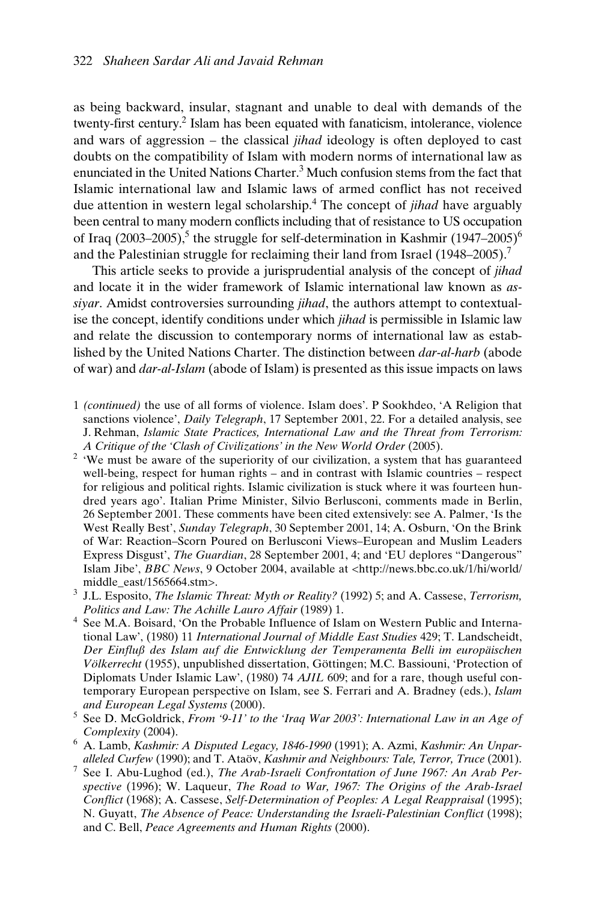as being backward, insular, stagnant and unable to deal with demands of the twenty-first century.<sup>2</sup> Islam has been equated with fanaticism, intolerance, violence and wars of aggression – the classical *jihad* ideology is often deployed to cast doubts on the compatibility of Islam with modern norms of international law as enunciated in the United Nations Charter.<sup>3</sup> Much confusion stems from the fact that Islamic international law and Islamic laws of armed conflict has not received due attention in western legal scholarship.<sup>4</sup> The concept of *jihad* have arguably been central to many modern conflicts including that of resistance to US occupation of Iraq (2003–2005),<sup>5</sup> the struggle for self-determination in Kashmir (1947–2005)<sup>6</sup> and the Palestinian struggle for reclaiming their land from Israel (1948–2005).7

This article seeks to provide a jurisprudential analysis of the concept of *jihad* and locate it in the wider framework of Islamic international law known as *assiyar*. Amidst controversies surrounding *jihad*, the authors attempt to contextualise the concept, identify conditions under which *jihad* is permissible in Islamic law and relate the discussion to contemporary norms of international law as established by the United Nations Charter. The distinction between *dar-al-harb* (abode of war) and *dar-al-Islam* (abode of Islam) is presented as this issue impacts on laws

- 1 *(continued)* the use of all forms of violence. Islam does'. P Sookhdeo, 'A Religion that sanctions violence', *Daily Telegraph*, 17 September 2001, 22. For a detailed analysis, see J. Rehman, *Islamic State Practices, International Law and the Threat from Terrorism: A Critique of the 'Clash of Civilizations' in the New World Order* (2005).
- <sup>2</sup> 'We must be aware of the superiority of our civilization, a system that has guaranteed well-being, respect for human rights – and in contrast with Islamic countries – respect for religious and political rights. Islamic civilization is stuck where it was fourteen hundred years ago'. Italian Prime Minister, Silvio Berlusconi, comments made in Berlin, 26 September 2001. These comments have been cited extensively: see A. Palmer, 'Is the West Really Best', *Sunday Telegraph*, 30 September 2001, 14; A. Osburn, 'On the Brink of War: Reaction–Scorn Poured on Berlusconi Views–European and Muslim Leaders Express Disgust', *The Guardian*, 28 September 2001, 4; and 'EU deplores "Dangerous" Islam Jibe', *BBC News*, 9 October 2004, available at <[http://news.bbc.co.uk/1/hi/world/](http://news.bbc.co.uk/1/hi/world/middle_east/1565664.stm) [middle\\_east/1565664.stm>.](http://news.bbc.co.uk/1/hi/world/middle_east/1565664.stm)
- <sup>3</sup> J.L. Esposito, *The Islamic Threat: Myth or Reality?* (1992) 5; and A. Cassese, *Terrorism, Politics and Law: The Achille Lauro Affair* (1989) 1.
- <sup>4</sup> See M.A. Boisard, 'On the Probable Influence of Islam on Western Public and International Law', (1980) 11 *International Journal of Middle East Studies* 429; T. Landscheidt, *Der Einfluß des Islam auf die Entwicklung der Temperamenta Belli im europäischen Völkerrecht* (1955), unpublished dissertation, Göttingen; M.C. Bassiouni, 'Protection of Diplomats Under Islamic Law', (1980) 74 *AJIL* 609; and for a rare, though useful contemporary European perspective on Islam, see S. Ferrari and A. Bradney (eds.), *Islam and European Legal Systems* (2000).
- <sup>5</sup> See D. McGoldrick, *From '9-11' to the 'Iraq War 2003': International Law in an Age of Complexity* (2004).
- <sup>6</sup> A. Lamb, *Kashmir: A Disputed Legacy, 1846-1990* (1991); A. Azmi, *Kashmir: An Unparalleled Curfew* (1990); and T. Ataöv, *Kashmir and Neighbours: Tale, Terror, Truce* (2001).
- <sup>7</sup> See I. Abu-Lughod (ed.), *The Arab-Israeli Confrontation of June 1967: An Arab Perspective* (1996); W. Laqueur, *The Road to War, 1967: The Origins of the Arab-Israel Conflict* (1968); A. Cassese, *Self-Determination of Peoples: A Legal Reappraisal* (1995); N. Guyatt, *The Absence of Peace: Understanding the Israeli-Palestinian Conflict* (1998); and C. Bell, *Peace Agreements and Human Rights* (2000).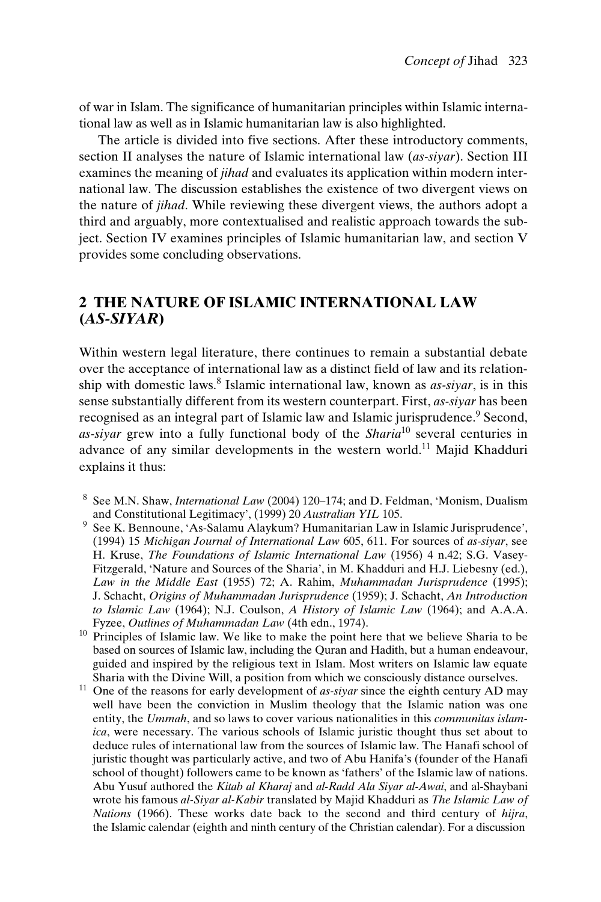of war in Islam. The significance of humanitarian principles within Islamic international law as well as in Islamic humanitarian law is also highlighted.

The article is divided into five sections. After these introductory comments, section II analyses the nature of Islamic international law (*as-siyar*). Section III examines the meaning of *jihad* and evaluates its application within modern international law. The discussion establishes the existence of two divergent views on the nature of *jihad*. While reviewing these divergent views, the authors adopt a third and arguably, more contextualised and realistic approach towards the subject. Section IV examines principles of Islamic humanitarian law, and section V provides some concluding observations.

## **2 THE NATURE OF ISLAMIC INTERNATIONAL LAW (***AS-SIYAR***)**

Within western legal literature, there continues to remain a substantial debate over the acceptance of international law as a distinct field of law and its relationship with domestic laws.<sup>8</sup> Islamic international law, known as *as-siyar*, is in this sense substantially different from its western counterpart. First, *as-siyar* has been recognised as an integral part of Islamic law and Islamic jurisprudence.<sup>9</sup> Second, *as-siyar* grew into a fully functional body of the *Sharia*10 several centuries in advance of any similar developments in the western world.<sup>11</sup> Majid Khadduri explains it thus:

- <sup>8</sup> See M.N. Shaw, *International Law* (2004) 120–174; and D. Feldman, 'Monism, Dualism and Constitutional Legitimacy', (1999) 20 *Australian YIL* 105.
- <sup>9</sup> See K. Bennoune, 'As-Salamu Alaykum? Humanitarian Law in Islamic Jurisprudence', (1994) 15 *Michigan Journal of International Law* 605, 611. For sources of *as-siyar*, see H. Kruse, *The Foundations of Islamic International Law* (1956) 4 n.42; S.G. Vasey-Fitzgerald, 'Nature and Sources of the Sharia', in M. Khadduri and H.J. Liebesny (ed.), *Law in the Middle East* (1955) 72; A. Rahim, *Muhammadan Jurisprudence* (1995); J. Schacht, *Origins of Muhammadan Jurisprudence* (1959); J. Schacht, *An Introduction to Islamic Law* (1964); N.J. Coulson, *A History of Islamic Law* (1964); and A.A.A. Fyzee, *Outlines of Muhammadan Law* (4th edn., 1974).
- <sup>10</sup> Principles of Islamic law. We like to make the point here that we believe Sharia to be based on sources of Islamic law, including the Quran and Hadith, but a human endeavour, guided and inspired by the religious text in Islam. Most writers on Islamic law equate Sharia with the Divine Will, a position from which we consciously distance ourselves.
- <sup>11</sup> One of the reasons for early development of *as-siyar* since the eighth century AD may well have been the conviction in Muslim theology that the Islamic nation was one entity, the *Ummah*, and so laws to cover various nationalities in this *communitas islamica*, were necessary. The various schools of Islamic juristic thought thus set about to deduce rules of international law from the sources of Islamic law. The Hanafi school of juristic thought was particularly active, and two of Abu Hanifa's (founder of the Hanafi school of thought) followers came to be known as 'fathers' of the Islamic law of nations. Abu Yusuf authored the *Kitab al Kharaj* and *al-Radd Ala Siyar al-Awai*, and al-Shaybani wrote his famous *al-Siyar al-Kabir* translated by Majid Khadduri as *The Islamic Law of Nations* (1966). These works date back to the second and third century of *hijra*, the Islamic calendar (eighth and ninth century of the Christian calendar). For a discussion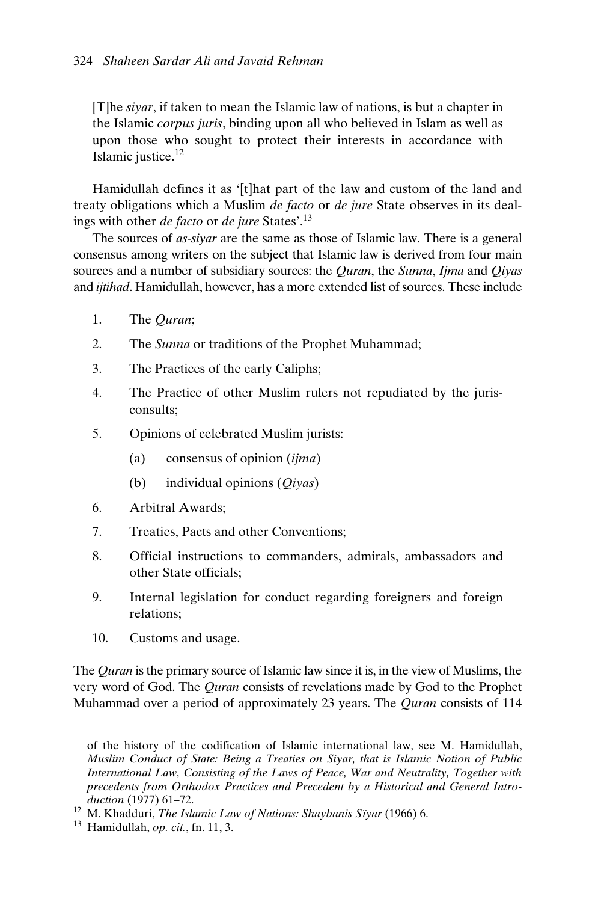[T]he *siyar*, if taken to mean the Islamic law of nations, is but a chapter in the Islamic *corpus juris*, binding upon all who believed in Islam as well as upon those who sought to protect their interests in accordance with Islamic justice.<sup>12</sup>

Hamidullah defines it as '[t]hat part of the law and custom of the land and treaty obligations which a Muslim *de facto* or *de jure* State observes in its dealings with other *de facto* or *de jure* States'.<sup>13</sup>

The sources of *as-siyar* are the same as those of Islamic law. There is a general consensus among writers on the subject that Islamic law is derived from four main sources and a number of subsidiary sources: the *Quran*, the *Sunna*, *Ijma* and *Qiyas* and *ijtihad*. Hamidullah, however, has a more extended list of sources. These include

- 1. The *Quran*;
- 2. The *Sunna* or traditions of the Prophet Muhammad;
- 3. The Practices of the early Caliphs;
- 4. The Practice of other Muslim rulers not repudiated by the jurisconsults;
- 5. Opinions of celebrated Muslim jurists:
	- (a) consensus of opinion (*ijma*)
	- (b) individual opinions (*Qiyas*)
- 6. Arbitral Awards;
- 7. Treaties, Pacts and other Conventions;
- 8. Official instructions to commanders, admirals, ambassadors and other State officials;
- 9. Internal legislation for conduct regarding foreigners and foreign relations;
- 10. Customs and usage.

The *Quran* is the primary source of Islamic law since it is, in the view of Muslims, the very word of God. The *Quran* consists of revelations made by God to the Prophet Muhammad over a period of approximately 23 years. The *Quran* consists of 114

of the history of the codification of Islamic international law, see M. Hamidullah, *Muslim Conduct of State: Being a Treaties on Siyar, that is Islamic Notion of Public International Law, Consisting of the Laws of Peace, War and Neutrality, Together with precedents from Orthodox Practices and Precedent by a Historical and General Introduction* (1977) 61–72.

<sup>12</sup> M. Khadduri, *The Islamic Law of Nations: Shaybanis Sïyar* (1966) 6.

<sup>13</sup> Hamidullah, *op. cit.*, fn. 11, 3.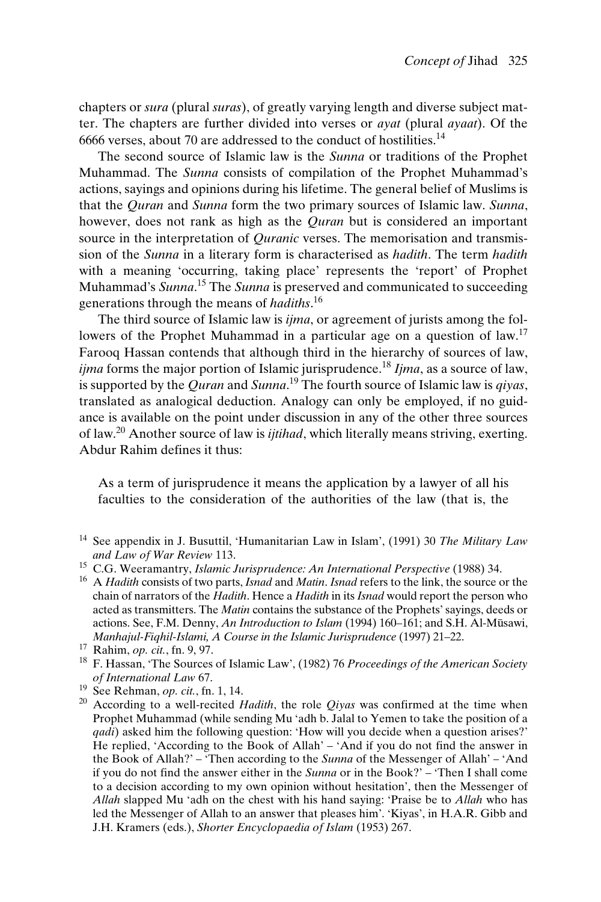chapters or *sura* (plural *suras*), of greatly varying length and diverse subject matter. The chapters are further divided into verses or *ayat* (plural *ayaat*). Of the 6666 verses, about 70 are addressed to the conduct of hostilities.<sup>14</sup>

The second source of Islamic law is the *Sunna* or traditions of the Prophet Muhammad. The *Sunna* consists of compilation of the Prophet Muhammad's actions, sayings and opinions during his lifetime. The general belief of Muslims is that the *Quran* and *Sunna* form the two primary sources of Islamic law. *Sunna*, however, does not rank as high as the *Quran* but is considered an important source in the interpretation of *Quranic* verses. The memorisation and transmission of the *Sunna* in a literary form is characterised as *hadith*. The term *hadith* with a meaning 'occurring, taking place' represents the 'report' of Prophet Muhammad's *Sunna*. 15 The *Sunna* is preserved and communicated to succeeding generations through the means of *hadiths*. 16

The third source of Islamic law is *ijma*, or agreement of jurists among the followers of the Prophet Muhammad in a particular age on a question of law.<sup>17</sup> Farooq Hassan contends that although third in the hierarchy of sources of law, *ijma* forms the major portion of Islamic jurisprudence.<sup>18</sup> *Ijma*, as a source of law, is supported by the *Quran* and *Sunna*. 19 The fourth source of Islamic law is *qiyas*, translated as analogical deduction. Analogy can only be employed, if no guidance is available on the point under discussion in any of the other three sources of law.20 Another source of law is *ijtihad*, which literally means striving, exerting. Abdur Rahim defines it thus:

As a term of jurisprudence it means the application by a lawyer of all his faculties to the consideration of the authorities of the law (that is, the

<sup>16</sup> A *Hadith* consists of two parts, *Isnad* and *Matin*. *Isnad* refers to the link, the source or the chain of narrators of the *Hadith*. Hence a *Hadith* in its *Isnad* would report the person who acted as transmitters. The *Matin* contains the substance of the Prophets' sayings, deeds or actions. See, F.M. Denny, *An Introduction to Islam* (1994) 160–161; and S.H. Al-Musawi, *Manhajul-Fiqhil-Islami, A Course in the Islamic Jurisprudence* (1997) 21–22.

- <sup>19</sup> See Rehman, *op. cit.*, fn. 1, 14.
- <sup>20</sup> According to a well-recited *Hadith*, the role *Qiyas* was confirmed at the time when Prophet Muhammad (while sending Mu 'adh b. Jalal to Yemen to take the position of a *qadi*) asked him the following question: 'How will you decide when a question arises?' He replied, 'According to the Book of Allah' – 'And if you do not find the answer in the Book of Allah?' – 'Then according to the *Sunna* of the Messenger of Allah' – 'And if you do not find the answer either in the *Sunna* or in the Book?' – 'Then I shall come to a decision according to my own opinion without hesitation', then the Messenger of *Allah* slapped Mu 'adh on the chest with his hand saying: 'Praise be to *Allah* who has led the Messenger of Allah to an answer that pleases him'. 'Kiyas', in H.A.R. Gibb and J.H. Kramers (eds.), *Shorter Encyclopaedia of Islam* (1953) 267.

<sup>14</sup> See appendix in J. Busuttil, 'Humanitarian Law in Islam', (1991) 30 *The Military Law and Law of War Review* 113.

<sup>15</sup> C.G. Weeramantry, *Islamic Jurisprudence: An International Perspective* (1988) 34.

<sup>17</sup> Rahim, *op. cit.*, fn. 9, 97.

<sup>18</sup> F. Hassan, 'The Sources of Islamic Law', (1982) 76 *Proceedings of the American Society of International Law* 67.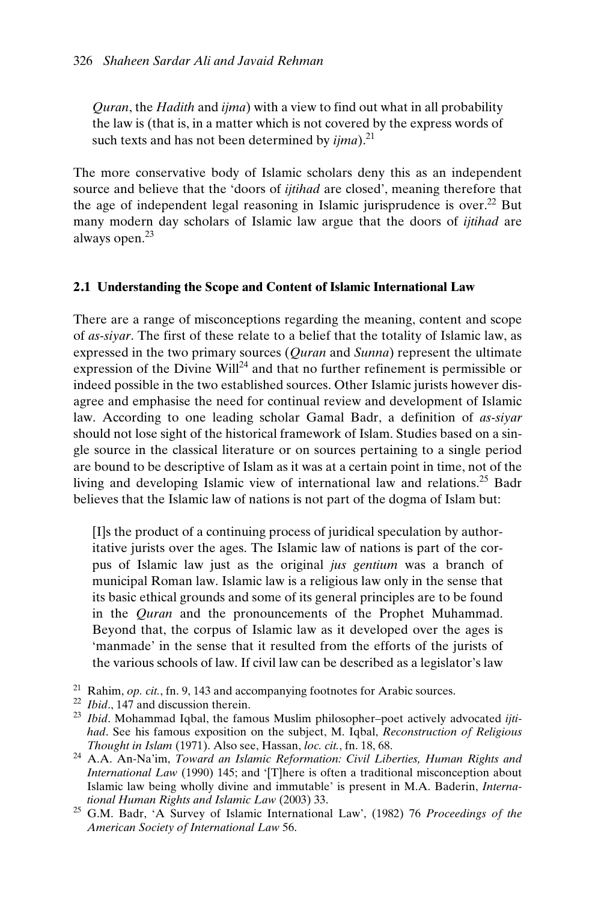*Quran*, the *Hadith* and *ijma*) with a view to find out what in all probability the law is (that is, in a matter which is not covered by the express words of such texts and has not been determined by  $ijma$ .<sup>21</sup>

The more conservative body of Islamic scholars deny this as an independent source and believe that the 'doors of *ijtihad* are closed', meaning therefore that the age of independent legal reasoning in Islamic jurisprudence is over.<sup>22</sup> But many modern day scholars of Islamic law argue that the doors of *ijtihad* are always open.<sup>23</sup>

### **2.1 Understanding the Scope and Content of Islamic International Law**

There are a range of misconceptions regarding the meaning, content and scope of *as-siyar*. The first of these relate to a belief that the totality of Islamic law, as expressed in the two primary sources (*Quran* and *Sunna*) represent the ultimate expression of the Divine Will<sup>24</sup> and that no further refinement is permissible or indeed possible in the two established sources. Other Islamic jurists however disagree and emphasise the need for continual review and development of Islamic law. According to one leading scholar Gamal Badr, a definition of *as-siyar* should not lose sight of the historical framework of Islam. Studies based on a single source in the classical literature or on sources pertaining to a single period are bound to be descriptive of Islam as it was at a certain point in time, not of the living and developing Islamic view of international law and relations.<sup>25</sup> Badr believes that the Islamic law of nations is not part of the dogma of Islam but:

[I]s the product of a continuing process of juridical speculation by authoritative jurists over the ages. The Islamic law of nations is part of the corpus of Islamic law just as the original *jus gentium* was a branch of municipal Roman law. Islamic law is a religious law only in the sense that its basic ethical grounds and some of its general principles are to be found in the *Quran* and the pronouncements of the Prophet Muhammad. Beyond that, the corpus of Islamic law as it developed over the ages is 'manmade' in the sense that it resulted from the efforts of the jurists of the various schools of law. If civil law can be described as a legislator's law

<sup>21</sup> Rahim, *op. cit.*, fn. 9, 143 and accompanying footnotes for Arabic sources.

<sup>22</sup> *Ibid*., 147 and discussion therein.

<sup>23</sup> *Ibid*. Mohammad Iqbal, the famous Muslim philosopher–poet actively advocated *ijtihad*. See his famous exposition on the subject, M. Iqbal, *Reconstruction of Religious Thought in Islam* (1971). Also see, Hassan, *loc. cit.*, fn. 18, 68.

<sup>24</sup> A.A. An-Na'im, *Toward an Islamic Reformation: Civil Liberties, Human Rights and International Law* (1990) 145; and '[T]here is often a traditional misconception about Islamic law being wholly divine and immutable' is present in M.A. Baderin, *International Human Rights and Islamic Law* (2003) 33.

<sup>25</sup> G.M. Badr, 'A Survey of Islamic International Law', (1982) 76 *Proceedings of the American Society of International Law* 56.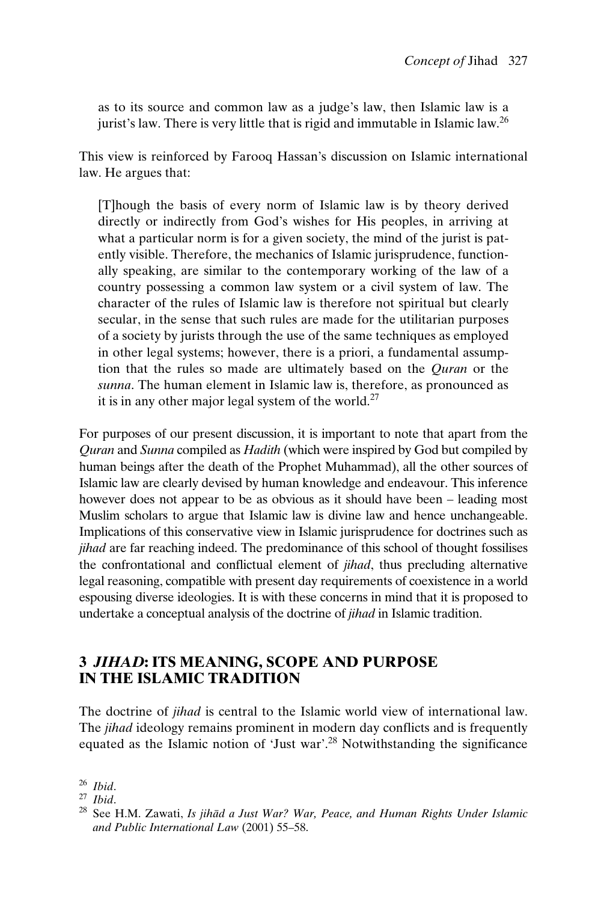as to its source and common law as a judge's law, then Islamic law is a jurist's law. There is very little that is rigid and immutable in Islamic law.<sup>26</sup>

This view is reinforced by Farooq Hassan's discussion on Islamic international law. He argues that:

[T]hough the basis of every norm of Islamic law is by theory derived directly or indirectly from God's wishes for His peoples, in arriving at what a particular norm is for a given society, the mind of the jurist is patently visible. Therefore, the mechanics of Islamic jurisprudence, functionally speaking, are similar to the contemporary working of the law of a country possessing a common law system or a civil system of law. The character of the rules of Islamic law is therefore not spiritual but clearly secular, in the sense that such rules are made for the utilitarian purposes of a society by jurists through the use of the same techniques as employed in other legal systems; however, there is a priori, a fundamental assumption that the rules so made are ultimately based on the *Quran* or the *sunna*. The human element in Islamic law is, therefore, as pronounced as it is in any other major legal system of the world.<sup>27</sup>

For purposes of our present discussion, it is important to note that apart from the *Quran* and *Sunna* compiled as *Hadith* (which were inspired by God but compiled by human beings after the death of the Prophet Muhammad), all the other sources of Islamic law are clearly devised by human knowledge and endeavour. This inference however does not appear to be as obvious as it should have been – leading most Muslim scholars to argue that Islamic law is divine law and hence unchangeable. Implications of this conservative view in Islamic jurisprudence for doctrines such as *jihad* are far reaching indeed. The predominance of this school of thought fossilises the confrontational and conflictual element of *jihad*, thus precluding alternative legal reasoning, compatible with present day requirements of coexistence in a world espousing diverse ideologies. It is with these concerns in mind that it is proposed to undertake a conceptual analysis of the doctrine of *jihad* in Islamic tradition.

# **3** *JIHAD***: ITS MEANING, SCOPE AND PURPOSE IN THE ISLAMIC TRADITION**

The doctrine of *jihad* is central to the Islamic world view of international law. The *jihad* ideology remains prominent in modern day conflicts and is frequently equated as the Islamic notion of 'Just war'.28 Notwithstanding the significance

<sup>26</sup> *Ibid*.

<sup>27</sup> *Ibid*.

<sup>28</sup> See H.M. Zawati, *Is jihad a Just War? War, Peace, and Human Rights Under Islamic and Public International Law* (2001) 55–58.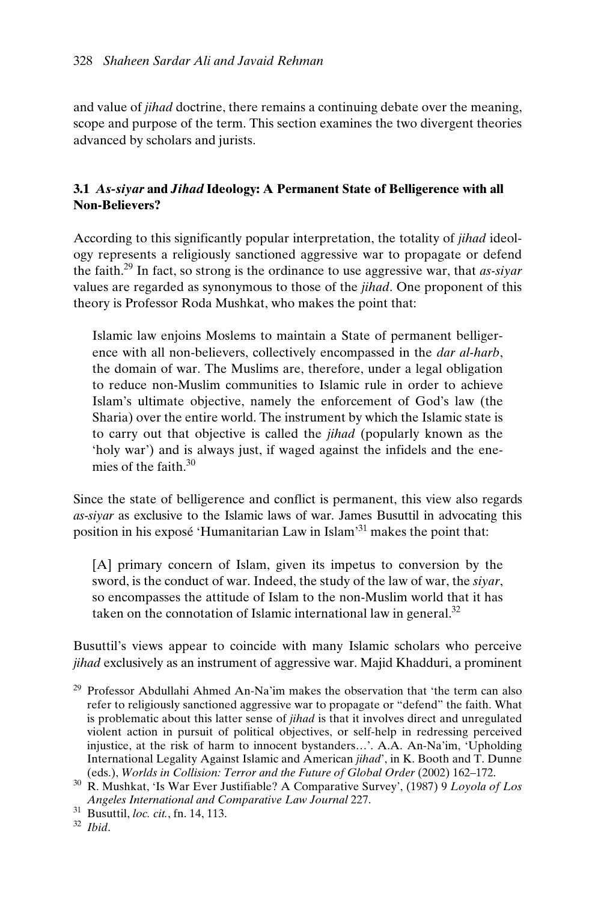and value of *jihad* doctrine, there remains a continuing debate over the meaning, scope and purpose of the term. This section examines the two divergent theories advanced by scholars and jurists.

## **3.1** *As-siyar* **and** *Jihad* **Ideology: A Permanent State of Belligerence with all Non-Believers?**

According to this significantly popular interpretation, the totality of *jihad* ideology represents a religiously sanctioned aggressive war to propagate or defend the faith.29 In fact, so strong is the ordinance to use aggressive war, that *as-siyar* values are regarded as synonymous to those of the *jihad*. One proponent of this theory is Professor Roda Mushkat, who makes the point that:

Islamic law enjoins Moslems to maintain a State of permanent belligerence with all non-believers, collectively encompassed in the *dar al-harb*, the domain of war. The Muslims are, therefore, under a legal obligation to reduce non-Muslim communities to Islamic rule in order to achieve Islam's ultimate objective, namely the enforcement of God's law (the Sharia) over the entire world. The instrument by which the Islamic state is to carry out that objective is called the *jihad* (popularly known as the 'holy war') and is always just, if waged against the infidels and the enemies of the faith. $30$ 

Since the state of belligerence and conflict is permanent, this view also regards *as-siyar* as exclusive to the Islamic laws of war. James Busuttil in advocating this position in his exposé 'Humanitarian Law in Islam'31 makes the point that:

[A] primary concern of Islam, given its impetus to conversion by the sword, is the conduct of war. Indeed, the study of the law of war, the *siyar*, so encompasses the attitude of Islam to the non-Muslim world that it has taken on the connotation of Islamic international law in general. $32$ 

Busuttil's views appear to coincide with many Islamic scholars who perceive *jihad* exclusively as an instrument of aggressive war. Majid Khadduri, a prominent

<sup>32</sup> *Ibid*.

<sup>&</sup>lt;sup>29</sup> Professor Abdullahi Ahmed An-Na'im makes the observation that 'the term can also refer to religiously sanctioned aggressive war to propagate or "defend" the faith. What is problematic about this latter sense of *jihad* is that it involves direct and unregulated violent action in pursuit of political objectives, or self-help in redressing perceived injustice, at the risk of harm to innocent bystanders…'. A.A. An-Na'im, 'Upholding International Legality Against Islamic and American *jihad*', in K. Booth and T. Dunne (eds.), *Worlds in Collision: Terror and the Future of Global Order* (2002) 162–172.

<sup>30</sup> R. Mushkat, 'Is War Ever Justifiable? A Comparative Survey', (1987) 9 *Loyola of Los Angeles International and Comparative Law Journal* 227.

<sup>31</sup> Busuttil, *loc. cit.*, fn. 14, 113.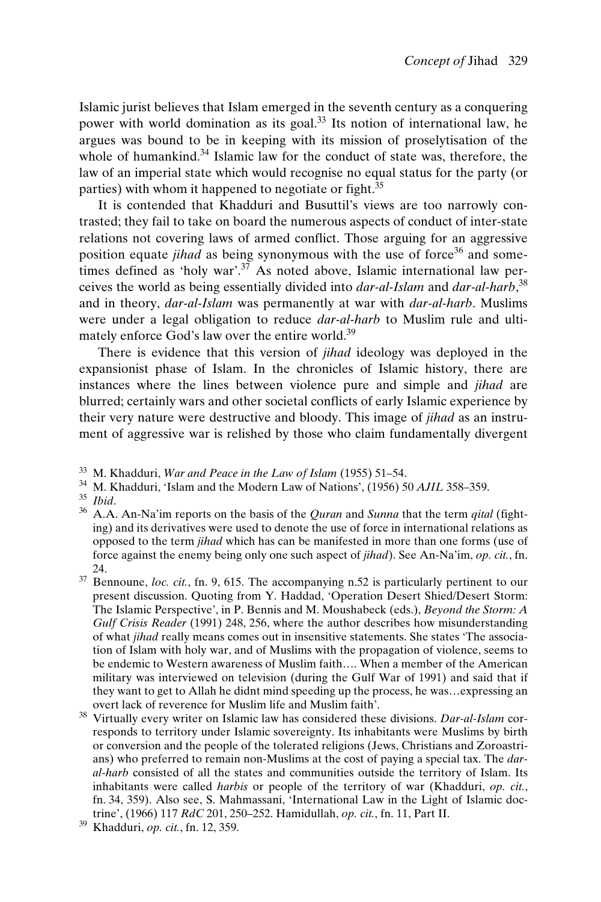Islamic jurist believes that Islam emerged in the seventh century as a conquering power with world domination as its goal.33 Its notion of international law, he argues was bound to be in keeping with its mission of proselytisation of the whole of humankind.<sup>34</sup> Islamic law for the conduct of state was, therefore, the law of an imperial state which would recognise no equal status for the party (or parties) with whom it happened to negotiate or fight.<sup>35</sup>

It is contended that Khadduri and Busuttil's views are too narrowly contrasted; they fail to take on board the numerous aspects of conduct of inter-state relations not covering laws of armed conflict. Those arguing for an aggressive position equate *jihad* as being synonymous with the use of force<sup>36</sup> and sometimes defined as 'holy war'. $37$  As noted above, Islamic international law perceives the world as being essentially divided into *dar-al-Islam* and *dar-al-harb*, 38 and in theory, *dar-al-Islam* was permanently at war with *dar-al-harb*. Muslims were under a legal obligation to reduce *dar-al-harb* to Muslim rule and ultimately enforce God's law over the entire world.<sup>39</sup>

There is evidence that this version of *jihad* ideology was deployed in the expansionist phase of Islam. In the chronicles of Islamic history, there are instances where the lines between violence pure and simple and *jihad* are blurred; certainly wars and other societal conflicts of early Islamic experience by their very nature were destructive and bloody. This image of *jihad* as an instrument of aggressive war is relished by those who claim fundamentally divergent

- $\frac{35}{36}$  *Ibid.*
- <sup>36</sup> A.A. An-Na'im reports on the basis of the *Quran* and *Sunna* that the term *qital* (fighting) and its derivatives were used to denote the use of force in international relations as opposed to the term *jihad* which has can be manifested in more than one forms (use of force against the enemy being only one such aspect of *jihad*). See An-Na'im, *op. cit.*, fn. 24.
- <sup>37</sup> Bennoune, *loc. cit.*, fn. 9, 615. The accompanying n.52 is particularly pertinent to our present discussion. Quoting from Y. Haddad, 'Operation Desert Shied/Desert Storm: The Islamic Perspective', in P. Bennis and M. Moushabeck (eds.), *Beyond the Storm: A Gulf Crisis Reader* (1991) 248, 256, where the author describes how misunderstanding of what *jihad* really means comes out in insensitive statements. She states 'The association of Islam with holy war, and of Muslims with the propagation of violence, seems to be endemic to Western awareness of Muslim faith…. When a member of the American military was interviewed on television (during the Gulf War of 1991) and said that if they want to get to Allah he didnt mind speeding up the process, he was…expressing an overt lack of reverence for Muslim life and Muslim faith'.
- <sup>38</sup> Virtually every writer on Islamic law has considered these divisions. *Dar-al-Islam* corresponds to territory under Islamic sovereignty. Its inhabitants were Muslims by birth or conversion and the people of the tolerated religions (Jews, Christians and Zoroastrians) who preferred to remain non-Muslims at the cost of paying a special tax. The *daral-harb* consisted of all the states and communities outside the territory of Islam. Its inhabitants were called *harbis* or people of the territory of war (Khadduri, *op. cit.*, fn. 34, 359). Also see, S. Mahmassani, 'International Law in the Light of Islamic doctrine', (1966) 117 *RdC* 201, 250–252. Hamidullah, *op. cit.*, fn. 11, Part II.

<sup>33</sup> M. Khadduri, *War and Peace in the Law of Islam* (1955) 51–54.

<sup>34</sup> M. Khadduri, 'Islam and the Modern Law of Nations', (1956) 50 *AJIL* 358–359.

<sup>39</sup> Khadduri, *op. cit.*, fn. 12, 359.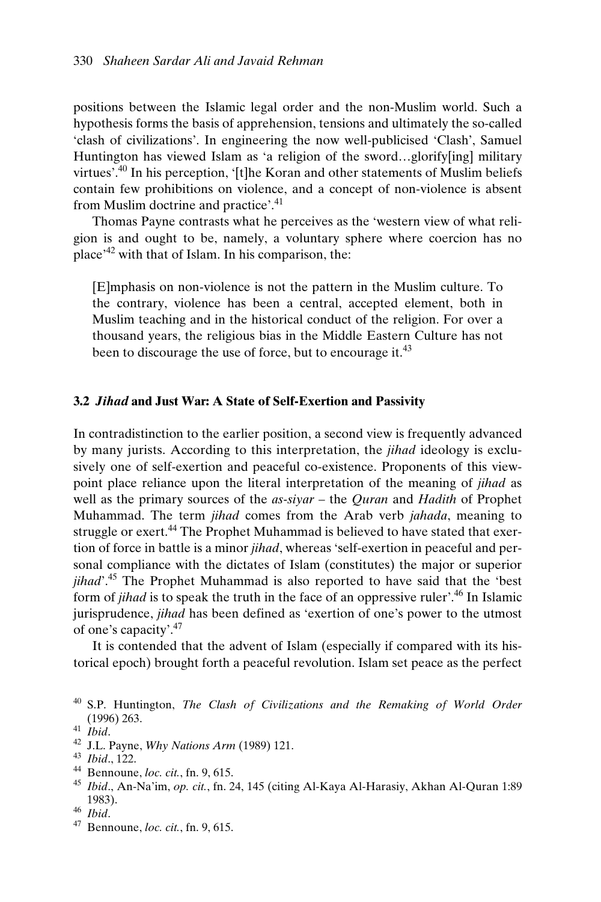positions between the Islamic legal order and the non-Muslim world. Such a hypothesis forms the basis of apprehension, tensions and ultimately the so-called 'clash of civilizations'. In engineering the now well-publicised 'Clash', Samuel Huntington has viewed Islam as 'a religion of the sword…glorify[ing] military virtues'.40 In his perception, '[t]he Koran and other statements of Muslim beliefs contain few prohibitions on violence, and a concept of non-violence is absent from Muslim doctrine and practice'.<sup>41</sup>

Thomas Payne contrasts what he perceives as the 'western view of what religion is and ought to be, namely, a voluntary sphere where coercion has no place'42 with that of Islam. In his comparison, the:

[E]mphasis on non-violence is not the pattern in the Muslim culture. To the contrary, violence has been a central, accepted element, both in Muslim teaching and in the historical conduct of the religion. For over a thousand years, the religious bias in the Middle Eastern Culture has not been to discourage the use of force, but to encourage it.<sup>43</sup>

#### **3.2** *Jihad* **and Just War: A State of Self-Exertion and Passivity**

In contradistinction to the earlier position, a second view is frequently advanced by many jurists. According to this interpretation, the *jihad* ideology is exclusively one of self-exertion and peaceful co-existence. Proponents of this viewpoint place reliance upon the literal interpretation of the meaning of *jihad* as well as the primary sources of the *as-siyar* – the *Quran* and *Hadith* of Prophet Muhammad. The term *jihad* comes from the Arab verb *jahada*, meaning to struggle or exert.<sup>44</sup> The Prophet Muhammad is believed to have stated that exertion of force in battle is a minor *jihad*, whereas 'self-exertion in peaceful and personal compliance with the dictates of Islam (constitutes) the major or superior *jihad*'.45 The Prophet Muhammad is also reported to have said that the 'best form of *jihad* is to speak the truth in the face of an oppressive ruler'.<sup>46</sup> In Islamic jurisprudence, *jihad* has been defined as 'exertion of one's power to the utmost of one's capacity'.47

It is contended that the advent of Islam (especially if compared with its historical epoch) brought forth a peaceful revolution. Islam set peace as the perfect

- <sup>44</sup> Bennoune, *loc. cit.*, fn. 9, 615.
- <sup>45</sup> *Ibid*., An-Na'im, *op. cit.*, fn. 24, 145 (citing Al-Kaya Al-Harasiy, Akhan Al-Quran 1:89 1983).

<sup>47</sup> Bennoune, *loc. cit.*, fn. 9, 615.

<sup>40</sup> S.P. Huntington, *The Clash of Civilizations and the Remaking of World Order* (1996) 263.

<sup>41</sup> *Ibid*.

<sup>42</sup> J.L. Payne, *Why Nations Arm* (1989) 121.

<sup>43</sup> *Ibid*., 122.

<sup>46</sup> *Ibid*.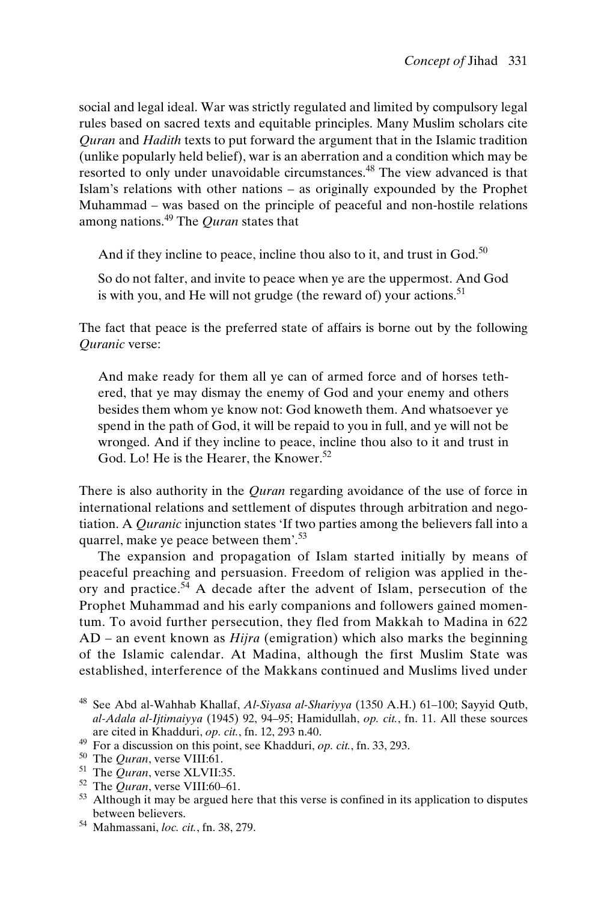social and legal ideal. War was strictly regulated and limited by compulsory legal rules based on sacred texts and equitable principles. Many Muslim scholars cite *Quran* and *Hadith* texts to put forward the argument that in the Islamic tradition (unlike popularly held belief), war is an aberration and a condition which may be resorted to only under unavoidable circumstances.48 The view advanced is that Islam's relations with other nations – as originally expounded by the Prophet Muhammad – was based on the principle of peaceful and non-hostile relations among nations.49 The *Quran* states that

And if they incline to peace, incline thou also to it, and trust in God.<sup>50</sup>

So do not falter, and invite to peace when ye are the uppermost. And God is with you, and He will not grudge (the reward of) your actions.<sup>51</sup>

The fact that peace is the preferred state of affairs is borne out by the following *Quranic* verse:

And make ready for them all ye can of armed force and of horses tethered, that ye may dismay the enemy of God and your enemy and others besides them whom ye know not: God knoweth them. And whatsoever ye spend in the path of God, it will be repaid to you in full, and ye will not be wronged. And if they incline to peace, incline thou also to it and trust in God. Lo! He is the Hearer, the Knower.<sup>52</sup>

There is also authority in the *Quran* regarding avoidance of the use of force in international relations and settlement of disputes through arbitration and negotiation. A *Quranic* injunction states 'If two parties among the believers fall into a quarrel, make ye peace between them'.<sup>53</sup>

The expansion and propagation of Islam started initially by means of peaceful preaching and persuasion. Freedom of religion was applied in theory and practice.<sup>54</sup> A decade after the advent of Islam, persecution of the Prophet Muhammad and his early companions and followers gained momentum. To avoid further persecution, they fled from Makkah to Madina in 622 AD – an event known as *Hijra* (emigration) which also marks the beginning of the Islamic calendar. At Madina, although the first Muslim State was established, interference of the Makkans continued and Muslims lived under

- <sup>49</sup> For a discussion on this point, see Khadduri, *op. cit.*, fn. 33, 293.
- <sup>50</sup> The *Quran*, verse VIII:61.
- <sup>51</sup> The *Quran*, verse XLVII:35.
- <sup>52</sup> The *Quran*, verse VIII:60–61.
- <sup>53</sup> Although it may be argued here that this verse is confined in its application to disputes between believers.
- <sup>54</sup> Mahmassani, *loc. cit.*, fn. 38, 279.

<sup>48</sup> See Abd al-Wahhab Khallaf, *Al-Siyasa al-Shariyya* (1350 A.H.) 61–100; Sayyid Qutb, *al-Adala al-Ijtimaiyya* (1945) 92, 94–95; Hamidullah, *op. cit.*, fn. 11. All these sources are cited in Khadduri, *op. cit.*, fn. 12, 293 n.40.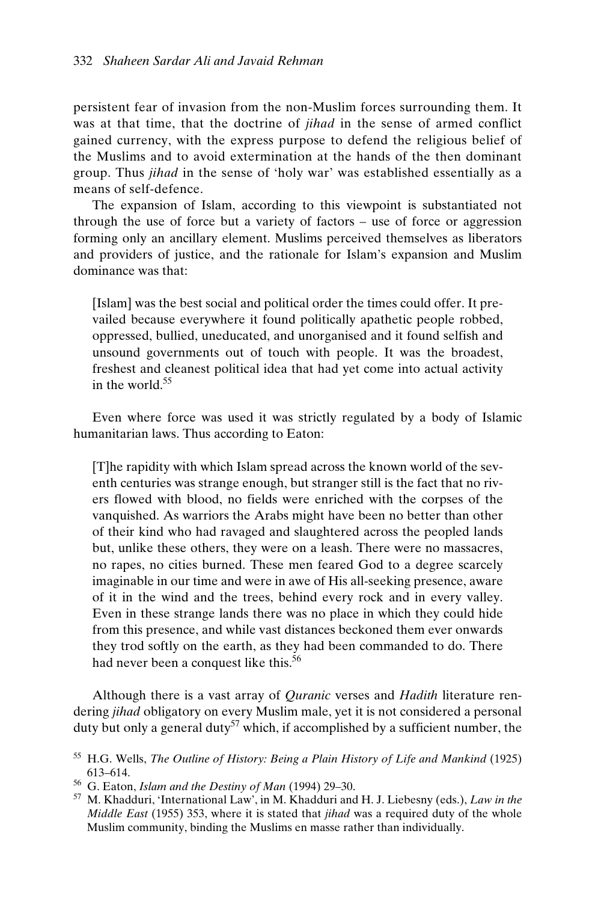persistent fear of invasion from the non-Muslim forces surrounding them. It was at that time, that the doctrine of *jihad* in the sense of armed conflict gained currency, with the express purpose to defend the religious belief of the Muslims and to avoid extermination at the hands of the then dominant group. Thus *jihad* in the sense of 'holy war' was established essentially as a means of self-defence.

The expansion of Islam, according to this viewpoint is substantiated not through the use of force but a variety of factors – use of force or aggression forming only an ancillary element. Muslims perceived themselves as liberators and providers of justice, and the rationale for Islam's expansion and Muslim dominance was that:

[Islam] was the best social and political order the times could offer. It prevailed because everywhere it found politically apathetic people robbed, oppressed, bullied, uneducated, and unorganised and it found selfish and unsound governments out of touch with people. It was the broadest, freshest and cleanest political idea that had yet come into actual activity in the world  $55$ 

Even where force was used it was strictly regulated by a body of Islamic humanitarian laws. Thus according to Eaton:

[T]he rapidity with which Islam spread across the known world of the seventh centuries was strange enough, but stranger still is the fact that no rivers flowed with blood, no fields were enriched with the corpses of the vanquished. As warriors the Arabs might have been no better than other of their kind who had ravaged and slaughtered across the peopled lands but, unlike these others, they were on a leash. There were no massacres, no rapes, no cities burned. These men feared God to a degree scarcely imaginable in our time and were in awe of His all-seeking presence, aware of it in the wind and the trees, behind every rock and in every valley. Even in these strange lands there was no place in which they could hide from this presence, and while vast distances beckoned them ever onwards they trod softly on the earth, as they had been commanded to do. There had never been a conquest like this.<sup>56</sup>

Although there is a vast array of *Quranic* verses and *Hadith* literature rendering *jihad* obligatory on every Muslim male, yet it is not considered a personal duty but only a general duty<sup>57</sup> which, if accomplished by a sufficient number, the

<sup>55</sup> H.G. Wells, *The Outline of History: Being a Plain History of Life and Mankind* (1925) 613–614.

<sup>56</sup> G. Eaton, *Islam and the Destiny of Man* (1994) 29–30.

<sup>57</sup> M. Khadduri, 'International Law', in M. Khadduri and H. J. Liebesny (eds.), *Law in the Middle East* (1955) 353, where it is stated that *jihad* was a required duty of the whole Muslim community, binding the Muslims en masse rather than individually.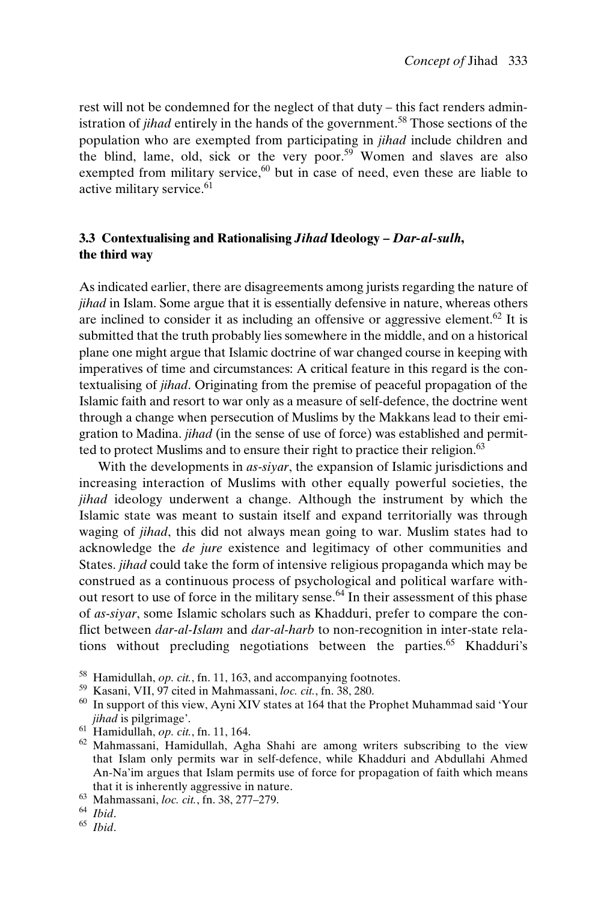rest will not be condemned for the neglect of that duty – this fact renders administration of *jihad* entirely in the hands of the government.<sup>58</sup> Those sections of the population who are exempted from participating in *jihad* include children and the blind, lame, old, sick or the very poor.<sup>59</sup> Women and slaves are also exempted from military service, $60$  but in case of need, even these are liable to active military service.<sup>61</sup>

### **3.3 Contextualising and Rationalising** *Jihad* **Ideology –** *Dar-al-sulh***, the third way**

As indicated earlier, there are disagreements among jurists regarding the nature of *jihad* in Islam. Some argue that it is essentially defensive in nature, whereas others are inclined to consider it as including an offensive or aggressive element.<sup>62</sup> It is submitted that the truth probably lies somewhere in the middle, and on a historical plane one might argue that Islamic doctrine of war changed course in keeping with imperatives of time and circumstances: A critical feature in this regard is the contextualising of *jihad*. Originating from the premise of peaceful propagation of the Islamic faith and resort to war only as a measure of self-defence, the doctrine went through a change when persecution of Muslims by the Makkans lead to their emigration to Madina. *jihad* (in the sense of use of force) was established and permitted to protect Muslims and to ensure their right to practice their religion.<sup>63</sup>

With the developments in *as-siyar*, the expansion of Islamic jurisdictions and increasing interaction of Muslims with other equally powerful societies, the *jihad* ideology underwent a change. Although the instrument by which the Islamic state was meant to sustain itself and expand territorially was through waging of *jihad*, this did not always mean going to war. Muslim states had to acknowledge the *de jure* existence and legitimacy of other communities and States. *jihad* could take the form of intensive religious propaganda which may be construed as a continuous process of psychological and political warfare without resort to use of force in the military sense.<sup>64</sup> In their assessment of this phase of *as-siyar*, some Islamic scholars such as Khadduri, prefer to compare the conflict between *dar-al-Islam* and *dar-al-harb* to non-recognition in inter-state relations without precluding negotiations between the parties.<sup>65</sup> Khadduri's

<sup>59</sup> Kasani, VII, 97 cited in Mahmassani, *loc. cit.*, fn. 38, 280.

- <sup>61</sup> Hamidullah, *op. cit.*, fn. 11, 164.
- <sup>62</sup> Mahmassani, Hamidullah, Agha Shahi are among writers subscribing to the view that Islam only permits war in self-defence, while Khadduri and Abdullahi Ahmed An-Na'im argues that Islam permits use of force for propagation of faith which means that it is inherently aggressive in nature.
- <sup>63</sup> Mahmassani, *loc. cit.*, fn. 38, 277–279.

<sup>65</sup> *Ibid*.

<sup>58</sup> Hamidullah, *op. cit.*, fn. 11, 163, and accompanying footnotes.

<sup>60</sup> In support of this view, Ayni XIV states at 164 that the Prophet Muhammad said 'Your *jihad* is pilgrimage'.

<sup>64</sup> *Ibid*.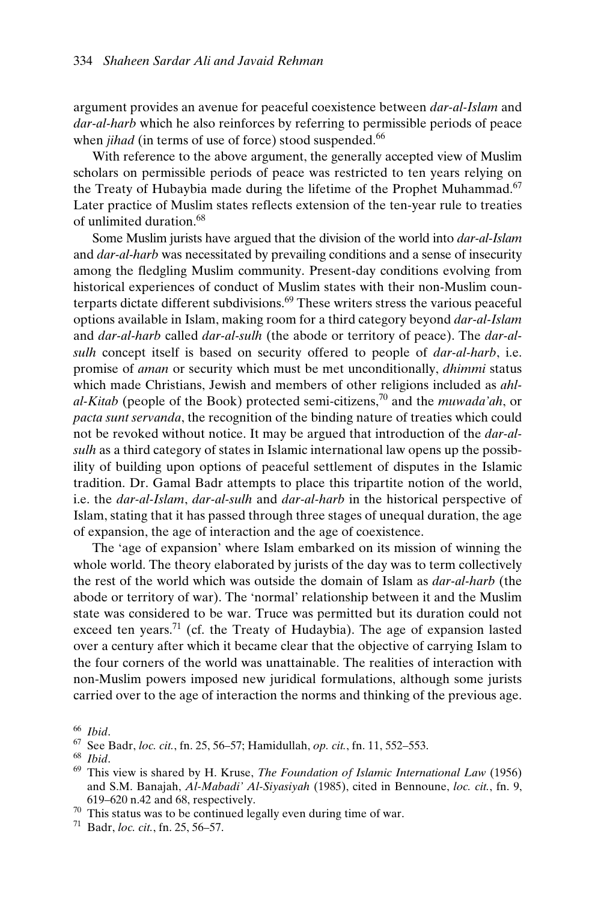argument provides an avenue for peaceful coexistence between *dar-al-Islam* and *dar-al-harb* which he also reinforces by referring to permissible periods of peace when *jihad* (in terms of use of force) stood suspended.<sup>66</sup>

With reference to the above argument, the generally accepted view of Muslim scholars on permissible periods of peace was restricted to ten years relying on the Treaty of Hubaybia made during the lifetime of the Prophet Muhammad.<sup>67</sup> Later practice of Muslim states reflects extension of the ten-year rule to treaties of unlimited duration.68

Some Muslim jurists have argued that the division of the world into *dar-al-Islam* and *dar-al-harb* was necessitated by prevailing conditions and a sense of insecurity among the fledgling Muslim community. Present-day conditions evolving from historical experiences of conduct of Muslim states with their non-Muslim counterparts dictate different subdivisions.<sup>69</sup> These writers stress the various peaceful options available in Islam, making room for a third category beyond *dar-al-Islam* and *dar-al-harb* called *dar-al-sulh* (the abode or territory of peace). The *dar-alsulh* concept itself is based on security offered to people of *dar-al-harb*, i.e. promise of *aman* or security which must be met unconditionally, *dhimmi* status which made Christians, Jewish and members of other religions included as *ahlal-Kitab* (people of the Book) protected semi-citizens,70 and the *muwada'ah*, or *pacta sunt servanda*, the recognition of the binding nature of treaties which could not be revoked without notice. It may be argued that introduction of the *dar-alsulh* as a third category of states in Islamic international law opens up the possibility of building upon options of peaceful settlement of disputes in the Islamic tradition. Dr. Gamal Badr attempts to place this tripartite notion of the world, i.e. the *dar-al-Islam*, *dar-al-sulh* and *dar-al-harb* in the historical perspective of Islam, stating that it has passed through three stages of unequal duration, the age of expansion, the age of interaction and the age of coexistence.

The 'age of expansion' where Islam embarked on its mission of winning the whole world. The theory elaborated by jurists of the day was to term collectively the rest of the world which was outside the domain of Islam as *dar-al-harb* (the abode or territory of war). The 'normal' relationship between it and the Muslim state was considered to be war. Truce was permitted but its duration could not exceed ten years.71 (cf. the Treaty of Hudaybia). The age of expansion lasted over a century after which it became clear that the objective of carrying Islam to the four corners of the world was unattainable. The realities of interaction with non-Muslim powers imposed new juridical formulations, although some jurists carried over to the age of interaction the norms and thinking of the previous age.

 $70$  This status was to be continued legally even during time of war.

<sup>66</sup> *Ibid*.

<sup>67</sup> See Badr, *loc. cit.*, fn. 25, 56–57; Hamidullah, *op. cit.*, fn. 11, 552–553.

<sup>68</sup> *Ibid*.

<sup>69</sup> This view is shared by H. Kruse, *The Foundation of Islamic International Law* (1956) and S.M. Banajah, *Al-Mabadi' Al-Siyasiyah* (1985), cited in Bennoune, *loc. cit.*, fn. 9, 619–620 n.42 and 68, respectively.

<sup>71</sup> Badr, *loc. cit.*, fn. 25, 56–57.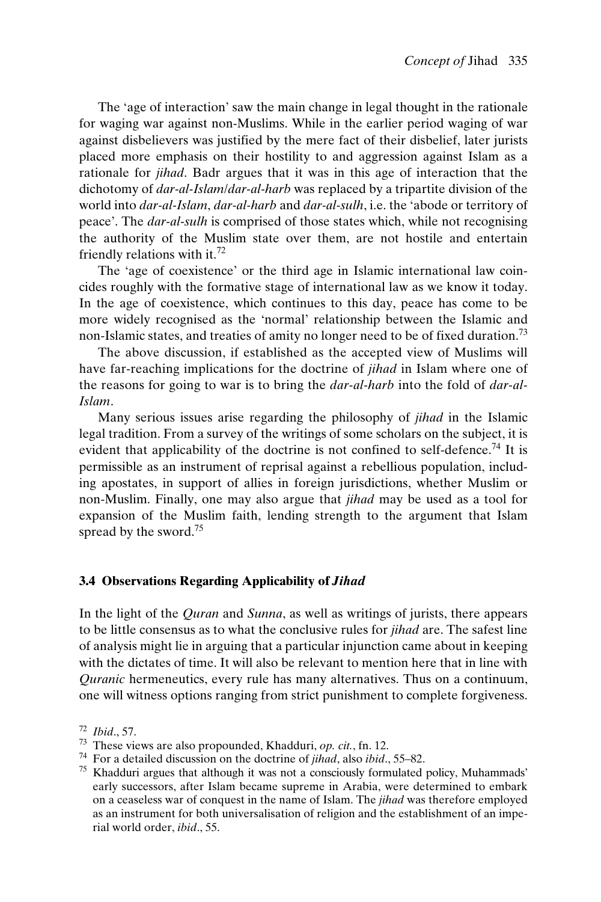The 'age of interaction' saw the main change in legal thought in the rationale for waging war against non-Muslims. While in the earlier period waging of war against disbelievers was justified by the mere fact of their disbelief, later jurists placed more emphasis on their hostility to and aggression against Islam as a rationale for *jihad*. Badr argues that it was in this age of interaction that the dichotomy of *dar-al-Islam*/*dar-al-harb* was replaced by a tripartite division of the world into *dar-al-Islam*, *dar-al-harb* and *dar-al-sulh*, i.e. the 'abode or territory of peace'. The *dar-al-sulh* is comprised of those states which, while not recognising the authority of the Muslim state over them, are not hostile and entertain friendly relations with it.<sup>72</sup>

The 'age of coexistence' or the third age in Islamic international law coincides roughly with the formative stage of international law as we know it today. In the age of coexistence, which continues to this day, peace has come to be more widely recognised as the 'normal' relationship between the Islamic and non-Islamic states, and treaties of amity no longer need to be of fixed duration.<sup>73</sup>

The above discussion, if established as the accepted view of Muslims will have far-reaching implications for the doctrine of *jihad* in Islam where one of the reasons for going to war is to bring the *dar-al-harb* into the fold of *dar-al-Islam*.

Many serious issues arise regarding the philosophy of *jihad* in the Islamic legal tradition. From a survey of the writings of some scholars on the subject, it is evident that applicability of the doctrine is not confined to self-defence.<sup>74</sup> It is permissible as an instrument of reprisal against a rebellious population, including apostates, in support of allies in foreign jurisdictions, whether Muslim or non-Muslim. Finally, one may also argue that *jihad* may be used as a tool for expansion of the Muslim faith, lending strength to the argument that Islam spread by the sword.<sup>75</sup>

### **3.4 Observations Regarding Applicability of** *Jihad*

In the light of the *Quran* and *Sunna*, as well as writings of jurists, there appears to be little consensus as to what the conclusive rules for *jihad* are. The safest line of analysis might lie in arguing that a particular injunction came about in keeping with the dictates of time. It will also be relevant to mention here that in line with *Quranic* hermeneutics, every rule has many alternatives. Thus on a continuum, one will witness options ranging from strict punishment to complete forgiveness.

<sup>72</sup> *Ibid*., 57.

<sup>73</sup> These views are also propounded, Khadduri, *op. cit.*, fn. 12.

<sup>74</sup> For a detailed discussion on the doctrine of *jihad*, also *ibid*., 55–82.

<sup>75</sup> Khadduri argues that although it was not a consciously formulated policy, Muhammads' early successors, after Islam became supreme in Arabia, were determined to embark on a ceaseless war of conquest in the name of Islam. The *jihad* was therefore employed as an instrument for both universalisation of religion and the establishment of an imperial world order, *ibid*., 55.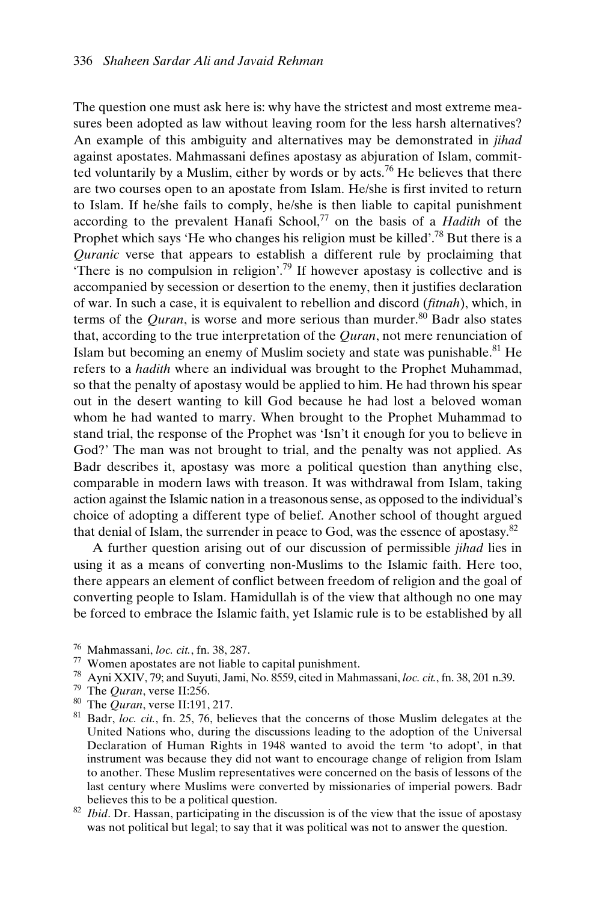The question one must ask here is: why have the strictest and most extreme measures been adopted as law without leaving room for the less harsh alternatives? An example of this ambiguity and alternatives may be demonstrated in *jihad* against apostates. Mahmassani defines apostasy as abjuration of Islam, committed voluntarily by a Muslim, either by words or by acts.76 He believes that there are two courses open to an apostate from Islam. He/she is first invited to return to Islam. If he/she fails to comply, he/she is then liable to capital punishment according to the prevalent Hanafi School,77 on the basis of a *Hadith* of the Prophet which says 'He who changes his religion must be killed'.78 But there is a *Quranic* verse that appears to establish a different rule by proclaiming that 'There is no compulsion in religion'.79 If however apostasy is collective and is accompanied by secession or desertion to the enemy, then it justifies declaration of war. In such a case, it is equivalent to rebellion and discord (*fitnah*), which, in terms of the *Quran*, is worse and more serious than murder.<sup>80</sup> Badr also states that, according to the true interpretation of the *Quran*, not mere renunciation of Islam but becoming an enemy of Muslim society and state was punishable.<sup>81</sup> He refers to a *hadith* where an individual was brought to the Prophet Muhammad, so that the penalty of apostasy would be applied to him. He had thrown his spear out in the desert wanting to kill God because he had lost a beloved woman whom he had wanted to marry. When brought to the Prophet Muhammad to stand trial, the response of the Prophet was 'Isn't it enough for you to believe in God?' The man was not brought to trial, and the penalty was not applied. As Badr describes it, apostasy was more a political question than anything else, comparable in modern laws with treason. It was withdrawal from Islam, taking action against the Islamic nation in a treasonous sense, as opposed to the individual's choice of adopting a different type of belief. Another school of thought argued that denial of Islam, the surrender in peace to God, was the essence of apostasy.<sup>82</sup>

A further question arising out of our discussion of permissible *jihad* lies in using it as a means of converting non-Muslims to the Islamic faith. Here too, there appears an element of conflict between freedom of religion and the goal of converting people to Islam. Hamidullah is of the view that although no one may be forced to embrace the Islamic faith, yet Islamic rule is to be established by all

- <sup>76</sup> Mahmassani, *loc. cit.*, fn. 38, 287.
- <sup>77</sup> Women apostates are not liable to capital punishment.
- <sup>78</sup> Ayni XXIV, 79; and Suyuti, Jami, No. 8559, cited in Mahmassani, *loc. cit.*, fn. 38, 201 n.39.
- <sup>79</sup> The *Quran*, verse II:256.
- <sup>80</sup> The *Quran*, verse II:191, 217.
- <sup>81</sup> Badr, *loc. cit.*, fn. 25, 76, believes that the concerns of those Muslim delegates at the United Nations who, during the discussions leading to the adoption of the Universal Declaration of Human Rights in 1948 wanted to avoid the term 'to adopt', in that instrument was because they did not want to encourage change of religion from Islam to another. These Muslim representatives were concerned on the basis of lessons of the last century where Muslims were converted by missionaries of imperial powers. Badr believes this to be a political question.
- <sup>82</sup> *Ibid*. Dr. Hassan, participating in the discussion is of the view that the issue of apostasy was not political but legal; to say that it was political was not to answer the question.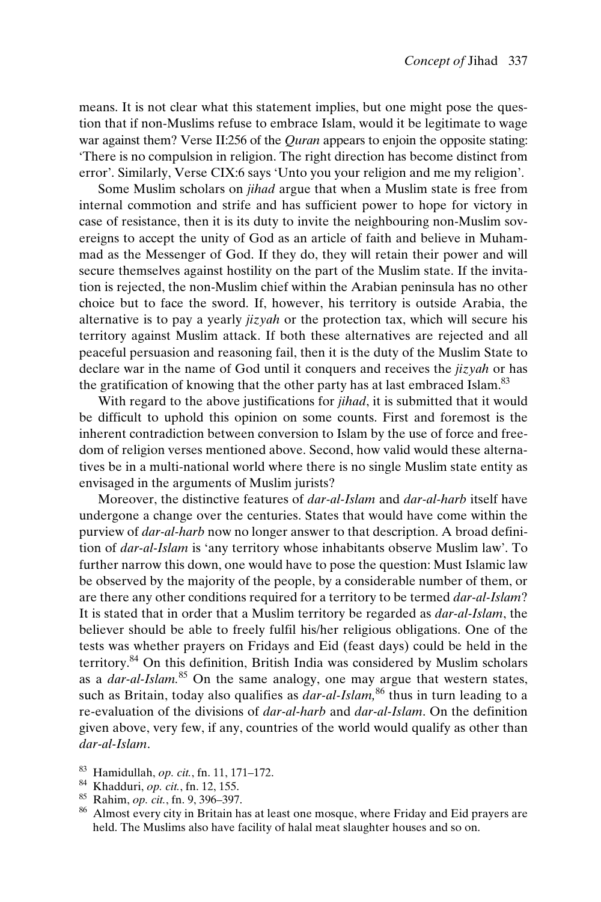means. It is not clear what this statement implies, but one might pose the question that if non-Muslims refuse to embrace Islam, would it be legitimate to wage war against them? Verse II:256 of the *Quran* appears to enjoin the opposite stating: 'There is no compulsion in religion. The right direction has become distinct from error'. Similarly, Verse CIX:6 says 'Unto you your religion and me my religion'.

Some Muslim scholars on *jihad* argue that when a Muslim state is free from internal commotion and strife and has sufficient power to hope for victory in case of resistance, then it is its duty to invite the neighbouring non-Muslim sovereigns to accept the unity of God as an article of faith and believe in Muhammad as the Messenger of God. If they do, they will retain their power and will secure themselves against hostility on the part of the Muslim state. If the invitation is rejected, the non-Muslim chief within the Arabian peninsula has no other choice but to face the sword. If, however, his territory is outside Arabia, the alternative is to pay a yearly *jizyah* or the protection tax, which will secure his territory against Muslim attack. If both these alternatives are rejected and all peaceful persuasion and reasoning fail, then it is the duty of the Muslim State to declare war in the name of God until it conquers and receives the *jizyah* or has the gratification of knowing that the other party has at last embraced Islam.<sup>83</sup>

With regard to the above justifications for *jihad*, it is submitted that it would be difficult to uphold this opinion on some counts. First and foremost is the inherent contradiction between conversion to Islam by the use of force and freedom of religion verses mentioned above. Second, how valid would these alternatives be in a multi-national world where there is no single Muslim state entity as envisaged in the arguments of Muslim jurists?

Moreover, the distinctive features of *dar-al-Islam* and *dar-al-harb* itself have undergone a change over the centuries. States that would have come within the purview of *dar-al-harb* now no longer answer to that description. A broad definition of *dar-al-Islam* is 'any territory whose inhabitants observe Muslim law'. To further narrow this down, one would have to pose the question: Must Islamic law be observed by the majority of the people, by a considerable number of them, or are there any other conditions required for a territory to be termed *dar-al-Islam*? It is stated that in order that a Muslim territory be regarded as *dar-al-Islam*, the believer should be able to freely fulfil his/her religious obligations. One of the tests was whether prayers on Fridays and Eid (feast days) could be held in the territory.84 On this definition, British India was considered by Muslim scholars as a *dar-al-Islam.*85 On the same analogy, one may argue that western states, such as Britain, today also qualifies as *dar-al-Islam*,<sup>86</sup> thus in turn leading to a re-evaluation of the divisions of *dar-al-harb* and *dar-al-Islam*. On the definition given above, very few, if any, countries of the world would qualify as other than *dar-al-Islam*.

- <sup>83</sup> Hamidullah, *op. cit.*, fn. 11, 171–172.
- <sup>84</sup> Khadduri, *op. cit.*, fn. 12, 155.
- <sup>85</sup> Rahim, *op. cit.*, fn. 9, 396–397.
- <sup>86</sup> Almost every city in Britain has at least one mosque, where Friday and Eid prayers are held. The Muslims also have facility of halal meat slaughter houses and so on.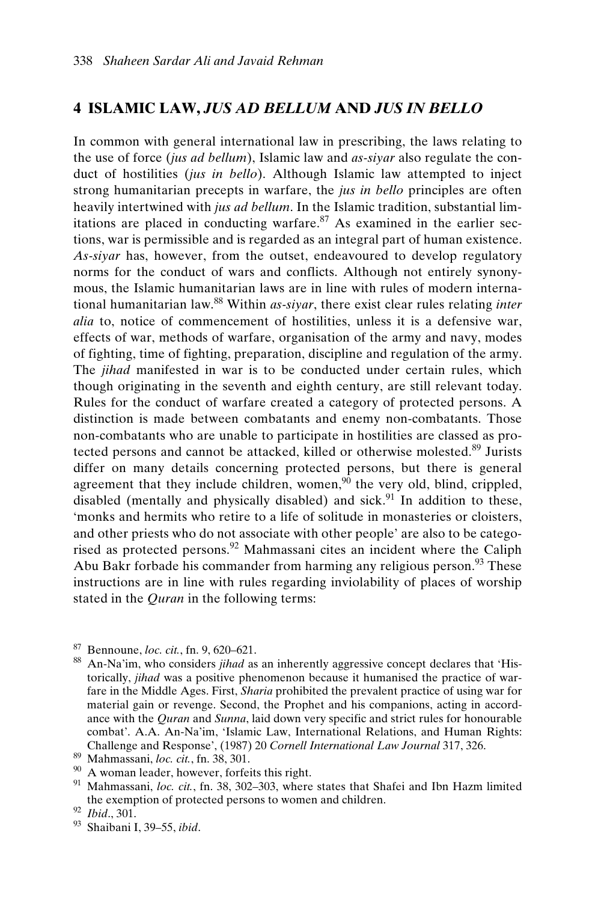### **4 ISLAMIC LAW,** *JUS AD BELLUM* **AND** *JUS IN BELLO*

In common with general international law in prescribing, the laws relating to the use of force (*jus ad bellum*), Islamic law and *as-siyar* also regulate the conduct of hostilities (*jus in bello*). Although Islamic law attempted to inject strong humanitarian precepts in warfare, the *jus in bello* principles are often heavily intertwined with *jus ad bellum*. In the Islamic tradition, substantial limitations are placed in conducting warfare. $87$  As examined in the earlier sections, war is permissible and is regarded as an integral part of human existence. *As-siyar* has, however, from the outset, endeavoured to develop regulatory norms for the conduct of wars and conflicts. Although not entirely synonymous, the Islamic humanitarian laws are in line with rules of modern international humanitarian law.88 Within *as-siyar*, there exist clear rules relating *inter alia* to, notice of commencement of hostilities, unless it is a defensive war, effects of war, methods of warfare, organisation of the army and navy, modes of fighting, time of fighting, preparation, discipline and regulation of the army. The *jihad* manifested in war is to be conducted under certain rules, which though originating in the seventh and eighth century, are still relevant today. Rules for the conduct of warfare created a category of protected persons. A distinction is made between combatants and enemy non-combatants. Those non-combatants who are unable to participate in hostilities are classed as protected persons and cannot be attacked, killed or otherwise molested.<sup>89</sup> Jurists differ on many details concerning protected persons, but there is general agreement that they include children, women, $90$  the very old, blind, crippled, disabled (mentally and physically disabled) and sick.<sup>91</sup> In addition to these, 'monks and hermits who retire to a life of solitude in monasteries or cloisters, and other priests who do not associate with other people' are also to be categorised as protected persons.  $92$  Mahmassani cites an incident where the Caliph Abu Bakr forbade his commander from harming any religious person.<sup>93</sup> These instructions are in line with rules regarding inviolability of places of worship stated in the *Quran* in the following terms:

<sup>93</sup> Shaibani I, 39–55, *ibid*.

<sup>87</sup> Bennoune, *loc. cit.*, fn. 9, 620–621.

<sup>88</sup> An-Na'im, who considers *jihad* as an inherently aggressive concept declares that 'Historically, *jihad* was a positive phenomenon because it humanised the practice of warfare in the Middle Ages. First, *Sharia* prohibited the prevalent practice of using war for material gain or revenge. Second, the Prophet and his companions, acting in accordance with the *Quran* and *Sunna*, laid down very specific and strict rules for honourable combat'. A.A. An-Na'im, 'Islamic Law, International Relations, and Human Rights: Challenge and Response', (1987) 20 *Cornell International Law Journal* 317, 326.

<sup>89</sup> Mahmassani, *loc. cit.*, fn. 38, 301.

<sup>&</sup>lt;sup>90</sup> A woman leader, however, forfeits this right.

<sup>91</sup> Mahmassani, *loc. cit.*, fn. 38, 302–303, where states that Shafei and Ibn Hazm limited the exemption of protected persons to women and children.

<sup>92</sup> *Ibid*., 301.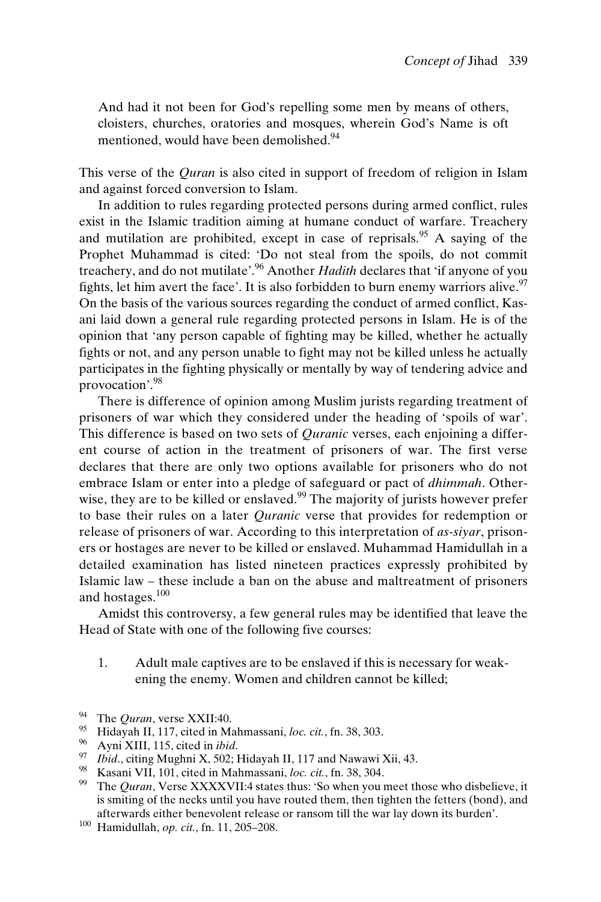And had it not been for God's repelling some men by means of others, cloisters, churches, oratories and mosques, wherein God's Name is oft mentioned, would have been demolished.<sup>94</sup>

This verse of the *Quran* is also cited in support of freedom of religion in Islam and against forced conversion to Islam.

In addition to rules regarding protected persons during armed conflict, rules exist in the Islamic tradition aiming at humane conduct of warfare. Treachery and mutilation are prohibited, except in case of reprisals.<sup>95</sup> A saying of the Prophet Muhammad is cited: 'Do not steal from the spoils, do not commit treachery, and do not mutilate'.96 Another *Hadith* declares that 'if anyone of you fights, let him avert the face'. It is also forbidden to burn enemy warriors alive.<sup>97</sup> On the basis of the various sources regarding the conduct of armed conflict, Kasani laid down a general rule regarding protected persons in Islam. He is of the opinion that 'any person capable of fighting may be killed, whether he actually fights or not, and any person unable to fight may not be killed unless he actually participates in the fighting physically or mentally by way of tendering advice and provocation'.<sup>98</sup>

There is difference of opinion among Muslim jurists regarding treatment of prisoners of war which they considered under the heading of 'spoils of war'. This difference is based on two sets of *Quranic* verses, each enjoining a different course of action in the treatment of prisoners of war. The first verse declares that there are only two options available for prisoners who do not embrace Islam or enter into a pledge of safeguard or pact of *dhimmah*. Otherwise, they are to be killed or enslaved.<sup>99</sup> The majority of jurists however prefer to base their rules on a later *Quranic* verse that provides for redemption or release of prisoners of war. According to this interpretation of *as-siyar*, prisoners or hostages are never to be killed or enslaved. Muhammad Hamidullah in a detailed examination has listed nineteen practices expressly prohibited by Islamic law – these include a ban on the abuse and maltreatment of prisoners and hostages.<sup>100</sup>

Amidst this controversy, a few general rules may be identified that leave the Head of State with one of the following five courses:

1. Adult male captives are to be enslaved if this is necessary for weakening the enemy. Women and children cannot be killed;

<sup>94</sup> The *Quran*, verse XXII:40.

<sup>95</sup> Hidayah II, 117, cited in Mahmassani, *loc. cit.*, fn. 38, 303.

<sup>&</sup>lt;sup>96</sup> Ayni XIII, 115, cited in *ibid*.

*Ibid.*, citing Mughni X, 502; Hidayah II, 117 and Nawawi Xii, 43.

<sup>98</sup> Kasani VII, 101, cited in Mahmassani, *loc. cit.*, fn. 38, 304.

The *Quran*, Verse XXXXVII:4 states thus: 'So when you meet those who disbelieve, it is smiting of the necks until you have routed them, then tighten the fetters (bond), and afterwards either benevolent release or ransom till the war lay down its burden'.

<sup>100</sup> Hamidullah, *op. cit.*, fn. 11, 205–208.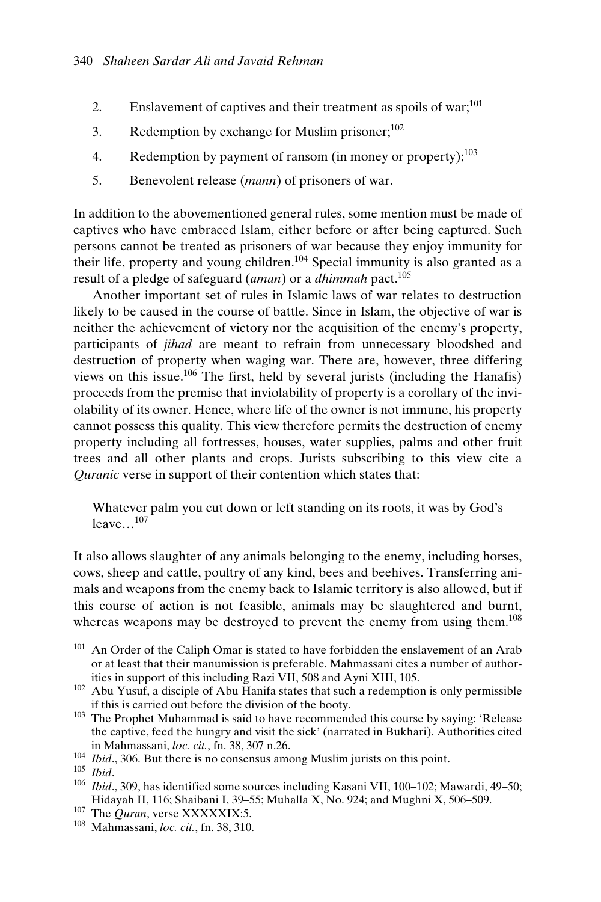- 2. Enslavement of captives and their treatment as spoils of war;<sup>101</sup>
- 3. Redemption by exchange for Muslim prisoner;<sup>102</sup>
- 4. Redemption by payment of ransom (in money or property);<sup>103</sup>
- 5. Benevolent release (*mann*) of prisoners of war.

In addition to the abovementioned general rules, some mention must be made of captives who have embraced Islam, either before or after being captured. Such persons cannot be treated as prisoners of war because they enjoy immunity for their life, property and young children.<sup>104</sup> Special immunity is also granted as a result of a pledge of safeguard (*aman*) or a *dhimmah* pact.105

Another important set of rules in Islamic laws of war relates to destruction likely to be caused in the course of battle. Since in Islam, the objective of war is neither the achievement of victory nor the acquisition of the enemy's property, participants of *jihad* are meant to refrain from unnecessary bloodshed and destruction of property when waging war. There are, however, three differing views on this issue.106 The first, held by several jurists (including the Hanafis) proceeds from the premise that inviolability of property is a corollary of the inviolability of its owner. Hence, where life of the owner is not immune, his property cannot possess this quality. This view therefore permits the destruction of enemy property including all fortresses, houses, water supplies, palms and other fruit trees and all other plants and crops. Jurists subscribing to this view cite a *Quranic* verse in support of their contention which states that:

Whatever palm you cut down or left standing on its roots, it was by God's leave $\ldots^{107}$ 

It also allows slaughter of any animals belonging to the enemy, including horses, cows, sheep and cattle, poultry of any kind, bees and beehives. Transferring animals and weapons from the enemy back to Islamic territory is also allowed, but if this course of action is not feasible, animals may be slaughtered and burnt, whereas weapons may be destroyed to prevent the enemy from using them.<sup>108</sup>

- <sup>101</sup> An Order of the Caliph Omar is stated to have forbidden the enslavement of an Arab or at least that their manumission is preferable. Mahmassani cites a number of authorities in support of this including Razi VII, 508 and Ayni XIII, 105.
- <sup>102</sup> Abu Yusuf, a disciple of Abu Hanifa states that such a redemption is only permissible if this is carried out before the division of the booty.
- <sup>103</sup> The Prophet Muhammad is said to have recommended this course by saying: 'Release the captive, feed the hungry and visit the sick' (narrated in Bukhari). Authorities cited in Mahmassani, *loc. cit.*, fn. 38, 307 n.26.
- <sup>104</sup> *Ibid*., 306. But there is no consensus among Muslim jurists on this point.

- <sup>106</sup> *Ibid*., 309, has identified some sources including Kasani VII, 100–102; Mawardi, 49–50; Hidayah II, 116; Shaibani I, 39–55; Muhalla X, No. 924; and Mughni X, 506–509.
- <sup>107</sup> The *Quran*, verse XXXXXIX:5.
- <sup>108</sup> Mahmassani, *loc. cit.*, fn. 38, 310.

<sup>105</sup> *Ibid*.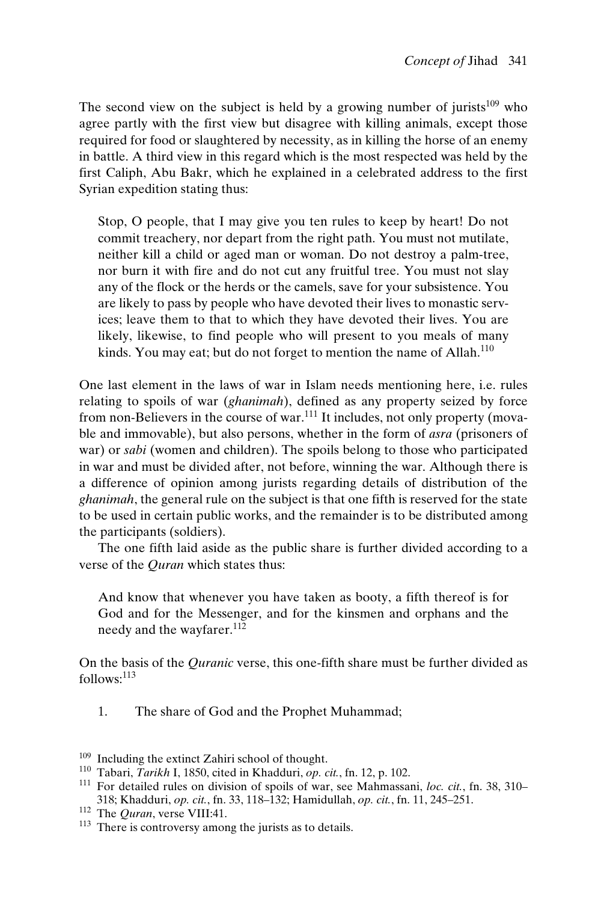The second view on the subject is held by a growing number of jurists $109$  who agree partly with the first view but disagree with killing animals, except those required for food or slaughtered by necessity, as in killing the horse of an enemy in battle. A third view in this regard which is the most respected was held by the first Caliph, Abu Bakr, which he explained in a celebrated address to the first Syrian expedition stating thus:

Stop, O people, that I may give you ten rules to keep by heart! Do not commit treachery, nor depart from the right path. You must not mutilate, neither kill a child or aged man or woman. Do not destroy a palm-tree, nor burn it with fire and do not cut any fruitful tree. You must not slay any of the flock or the herds or the camels, save for your subsistence. You are likely to pass by people who have devoted their lives to monastic services; leave them to that to which they have devoted their lives. You are likely, likewise, to find people who will present to you meals of many kinds. You may eat; but do not forget to mention the name of Allah.<sup>110</sup>

One last element in the laws of war in Islam needs mentioning here, i.e. rules relating to spoils of war (*ghanimah*), defined as any property seized by force from non-Believers in the course of war.<sup>111</sup> It includes, not only property (movable and immovable), but also persons, whether in the form of *asra* (prisoners of war) or *sabi* (women and children). The spoils belong to those who participated in war and must be divided after, not before, winning the war. Although there is a difference of opinion among jurists regarding details of distribution of the *ghanimah*, the general rule on the subject is that one fifth is reserved for the state to be used in certain public works, and the remainder is to be distributed among the participants (soldiers).

The one fifth laid aside as the public share is further divided according to a verse of the *Quran* which states thus:

And know that whenever you have taken as booty, a fifth thereof is for God and for the Messenger, and for the kinsmen and orphans and the needy and the wayfarer.<sup>112</sup>

On the basis of the *Quranic* verse, this one-fifth share must be further divided as follows:<sup>113</sup>

1. The share of God and the Prophet Muhammad;

<sup>110</sup> Tabari, *Tarikh* I, 1850, cited in Khadduri, *op. cit.*, fn. 12, p. 102.

<sup>112</sup> The *Quran*, verse VIII:41.

<sup>109</sup> Including the extinct Zahiri school of thought.

<sup>111</sup> For detailed rules on division of spoils of war, see Mahmassani, *loc. cit.*, fn. 38, 310– 318; Khadduri, *op. cit.*, fn. 33, 118–132; Hamidullah, *op. cit.*, fn. 11, 245–251.

<sup>113</sup> There is controversy among the jurists as to details.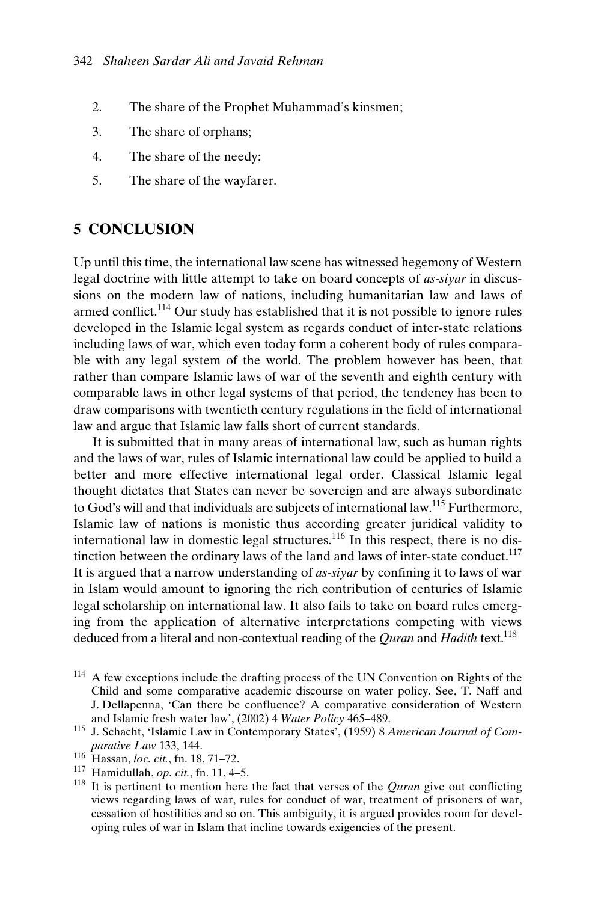- 2. The share of the Prophet Muhammad's kinsmen;
- 3. The share of orphans;
- 4. The share of the needy;
- 5. The share of the wayfarer.

## **5 CONCLUSION**

Up until this time, the international law scene has witnessed hegemony of Western legal doctrine with little attempt to take on board concepts of *as-siyar* in discussions on the modern law of nations, including humanitarian law and laws of armed conflict.<sup>114</sup> Our study has established that it is not possible to ignore rules developed in the Islamic legal system as regards conduct of inter-state relations including laws of war, which even today form a coherent body of rules comparable with any legal system of the world. The problem however has been, that rather than compare Islamic laws of war of the seventh and eighth century with comparable laws in other legal systems of that period, the tendency has been to draw comparisons with twentieth century regulations in the field of international law and argue that Islamic law falls short of current standards.

It is submitted that in many areas of international law, such as human rights and the laws of war, rules of Islamic international law could be applied to build a better and more effective international legal order. Classical Islamic legal thought dictates that States can never be sovereign and are always subordinate to God's will and that individuals are subjects of international law.<sup>115</sup> Furthermore, Islamic law of nations is monistic thus according greater juridical validity to international law in domestic legal structures.116 In this respect, there is no distinction between the ordinary laws of the land and laws of inter-state conduct.<sup>117</sup> It is argued that a narrow understanding of *as-siyar* by confining it to laws of war in Islam would amount to ignoring the rich contribution of centuries of Islamic legal scholarship on international law. It also fails to take on board rules emerging from the application of alternative interpretations competing with views deduced from a literal and non-contextual reading of the *Quran* and *Hadith* text.<sup>118</sup>

- <sup>116</sup> Hassan, *loc. cit.*, fn. 18, 71–72.
- <sup>117</sup> Hamidullah, *op. cit.*, fn. 11, 4–5.

<sup>&</sup>lt;sup>114</sup> A few exceptions include the drafting process of the UN Convention on Rights of the Child and some comparative academic discourse on water policy. See, T. Naff and J. Dellapenna, 'Can there be confluence? A comparative consideration of Western and Islamic fresh water law', (2002) 4 *Water Policy* 465–489.

<sup>115</sup> J. Schacht, 'Islamic Law in Contemporary States', (1959) 8 *American Journal of Comparative Law* 133, 144.

<sup>118</sup> It is pertinent to mention here the fact that verses of the *Quran* give out conflicting views regarding laws of war, rules for conduct of war, treatment of prisoners of war, cessation of hostilities and so on. This ambiguity, it is argued provides room for developing rules of war in Islam that incline towards exigencies of the present.